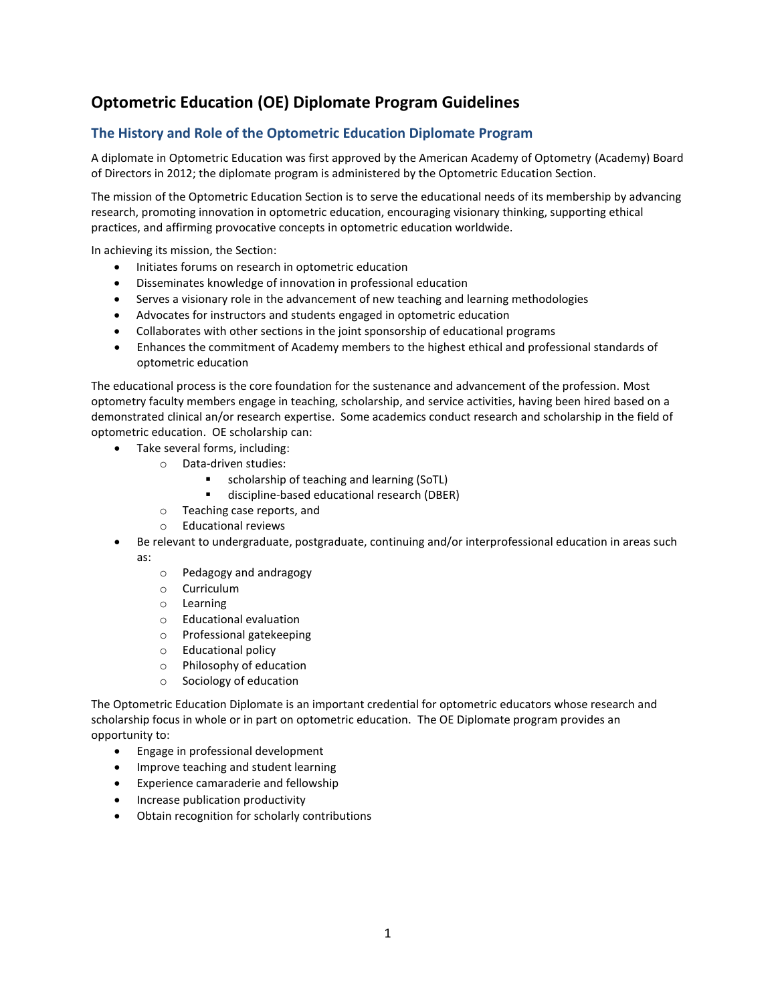# **Optometric Education (OE) Diplomate Program Guidelines**

# **The History and Role of the Optometric Education Diplomate Program**

A diplomate in Optometric Education was first approved by the American Academy of Optometry (Academy) Board of Directors in 2012; the diplomate program is administered by the Optometric Education Section.

The mission of the Optometric Education Section is to serve the educational needs of its membership by advancing research, promoting innovation in optometric education, encouraging visionary thinking, supporting ethical practices, and affirming provocative concepts in optometric education worldwide.

In achieving its mission, the Section:

- Initiates forums on research in optometric education
- Disseminates knowledge of innovation in professional education
- Serves a visionary role in the advancement of new teaching and learning methodologies
- Advocates for instructors and students engaged in optometric education
- Collaborates with other sections in the joint sponsorship of educational programs
- Enhances the commitment of Academy members to the highest ethical and professional standards of optometric education

The educational process is the core foundation for the sustenance and advancement of the profession. Most optometry faculty members engage in teaching, scholarship, and service activities, having been hired based on a demonstrated clinical an/or research expertise. Some academics conduct research and scholarship in the field of optometric education. OE scholarship can:

- Take several forms, including:
	- o Data-driven studies:
		- scholarship of teaching and learning (SoTL)
		- discipline-based educational research (DBER)
	- o Teaching case reports, and
	- o Educational reviews
- Be relevant to undergraduate, postgraduate, continuing and/or interprofessional education in areas such as:
	- o Pedagogy and andragogy
	- o Curriculum
	- o Learning
	- o Educational evaluation
	- o Professional gatekeeping
	- o Educational policy
	- o Philosophy of education
	- o Sociology of education

The Optometric Education Diplomate is an important credential for optometric educators whose research and scholarship focus in whole or in part on optometric education. The OE Diplomate program provides an opportunity to:

- Engage in professional development
- Improve teaching and student learning
- Experience camaraderie and fellowship
- Increase publication productivity
- Obtain recognition for scholarly contributions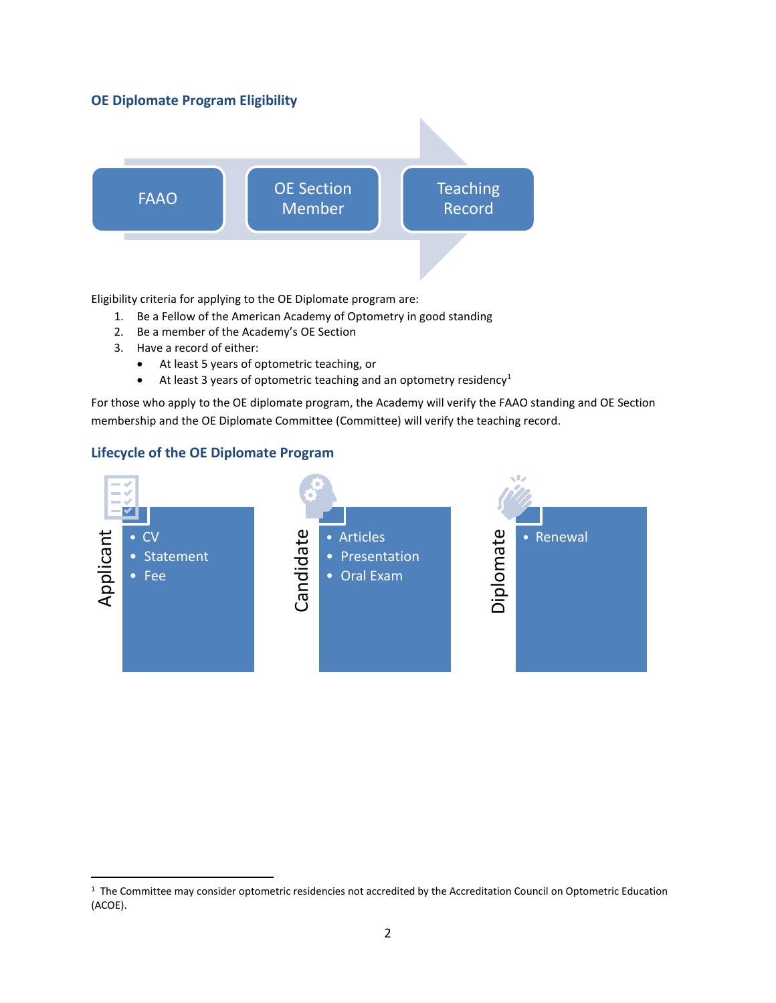# **OE Diplomate Program Eligibility**



Eligibility criteria for applying to the OE Diplomate program are:

- 1. Be a Fellow of the American Academy of Optometry in good standing
- 2. Be a member of the Academy's OE Section
- 3. Have a record of either:
	- At least 5 years of optometric teaching, or
	- At least 3 years of optometric teaching and an optometry residency<sup>1</sup>

For those who apply to the OE diplomate program, the Academy will verify the FAAO standing and OE Section membership and the OE Diplomate Committee (Committee) will verify the teaching record.

# **Lifecycle of the OE Diplomate Program**



<sup>1</sup> The Committee may consider optometric residencies not accredited by the Accreditation Council on Optometric Education (ACOE).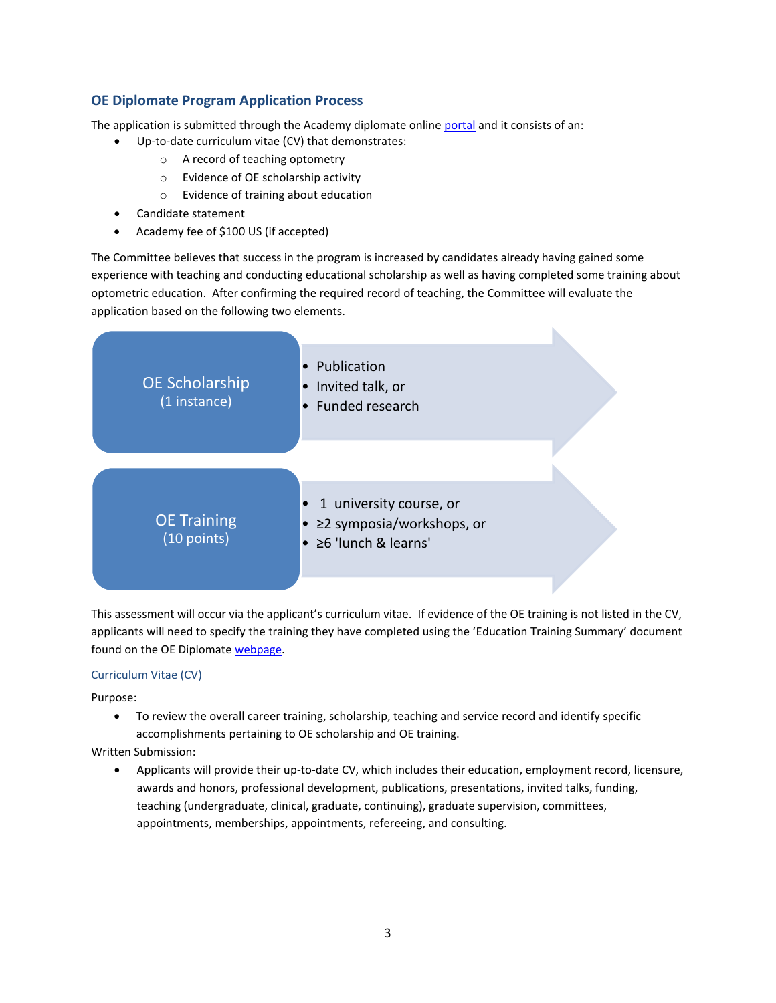# **OE Diplomate Program Application Process**

The application is submitted through the Academy diplomate online [portal](https://www.aaopt.org/membership/sections-sigs/fellows-sections/section-oe/fellows-sections-opted-diplomate) and it consists of an:

- Up-to-date curriculum vitae (CV) that demonstrates:
	- o A record of teaching optometry
	- o Evidence of OE scholarship activity
	- o Evidence of training about education
- Candidate statement
- Academy fee of \$100 US (if accepted)

The Committee believes that success in the program is increased by candidates already having gained some experience with teaching and conducting educational scholarship as well as having completed some training about optometric education. After confirming the required record of teaching, the Committee will evaluate the application based on the following two elements.



This assessment will occur via the applicant's curriculum vitae. If evidence of the OE training is not listed in the CV, applicants will need to specify the training they have completed using the 'Education Training Summary' document found on the OE Diplomat[e webpage.](https://www.aaopt.org/membership/sections-sigs/fellows-sections/section-oe/fellows-sections-opted-diplomate)

#### Curriculum Vitae (CV)

Purpose:

• To review the overall career training, scholarship, teaching and service record and identify specific accomplishments pertaining to OE scholarship and OE training.

Written Submission:

• Applicants will provide their up-to-date CV, which includes their education, employment record, licensure, awards and honors, professional development, publications, presentations, invited talks, funding, teaching (undergraduate, clinical, graduate, continuing), graduate supervision, committees, appointments, memberships, appointments, refereeing, and consulting.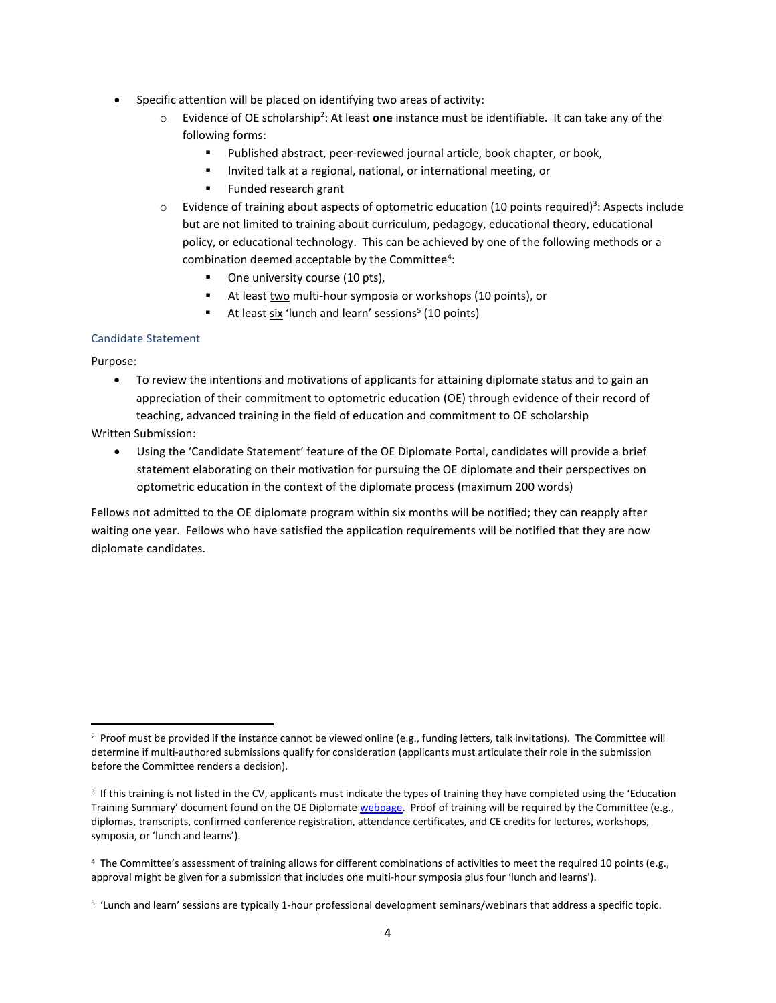- Specific attention will be placed on identifying two areas of activity:
	- o Evidence of OE scholarship<sup>2</sup> : At least **one** instance must be identifiable. It can take any of the following forms:
		- Published abstract, peer-reviewed journal article, book chapter, or book,
		- Invited talk at a regional, national, or international meeting, or
		- Funded research grant
	- $\circ$  Evidence of training about aspects of optometric education (10 points required)<sup>3</sup>: Aspects include but are not limited to training about curriculum, pedagogy, educational theory, educational policy, or educational technology. This can be achieved by one of the following methods or a combination deemed acceptable by the Committee<sup>4</sup>:
		- One university course (10 pts),
		- At least two multi-hour symposia or workshops (10 points), or
		- At least six 'lunch and learn' sessions<sup>5</sup> (10 points)

#### Candidate Statement

Purpose:

• To review the intentions and motivations of applicants for attaining diplomate status and to gain an appreciation of their commitment to optometric education (OE) through evidence of their record of teaching, advanced training in the field of education and commitment to OE scholarship

#### Written Submission:

• Using the 'Candidate Statement' feature of the OE Diplomate Portal, candidates will provide a brief statement elaborating on their motivation for pursuing the OE diplomate and their perspectives on optometric education in the context of the diplomate process (maximum 200 words)

Fellows not admitted to the OE diplomate program within six months will be notified; they can reapply after waiting one year. Fellows who have satisfied the application requirements will be notified that they are now diplomate candidates.

<sup>2</sup> Proof must be provided if the instance cannot be viewed online (e.g., funding letters, talk invitations). The Committee will determine if multi-authored submissions qualify for consideration (applicants must articulate their role in the submission before the Committee renders a decision).

<sup>&</sup>lt;sup>3</sup> If this training is not listed in the CV, applicants must indicate the types of training they have completed using the 'Education Training Summary' document found on the OE Diplomate [webpage.](https://www.aaopt.org/membership/sections-sigs/fellows-sections/section-oe/fellows-sections-opted-diplomate) Proof of training will be required by the Committee (e.g., diplomas, transcripts, confirmed conference registration, attendance certificates, and CE credits for lectures, workshops, symposia, or 'lunch and learns').

<sup>&</sup>lt;sup>4</sup> The Committee's assessment of training allows for different combinations of activities to meet the required 10 points (e.g., approval might be given for a submission that includes one multi-hour symposia plus four 'lunch and learns').

<sup>5</sup> 'Lunch and learn' sessions are typically 1-hour professional development seminars/webinars that address a specific topic.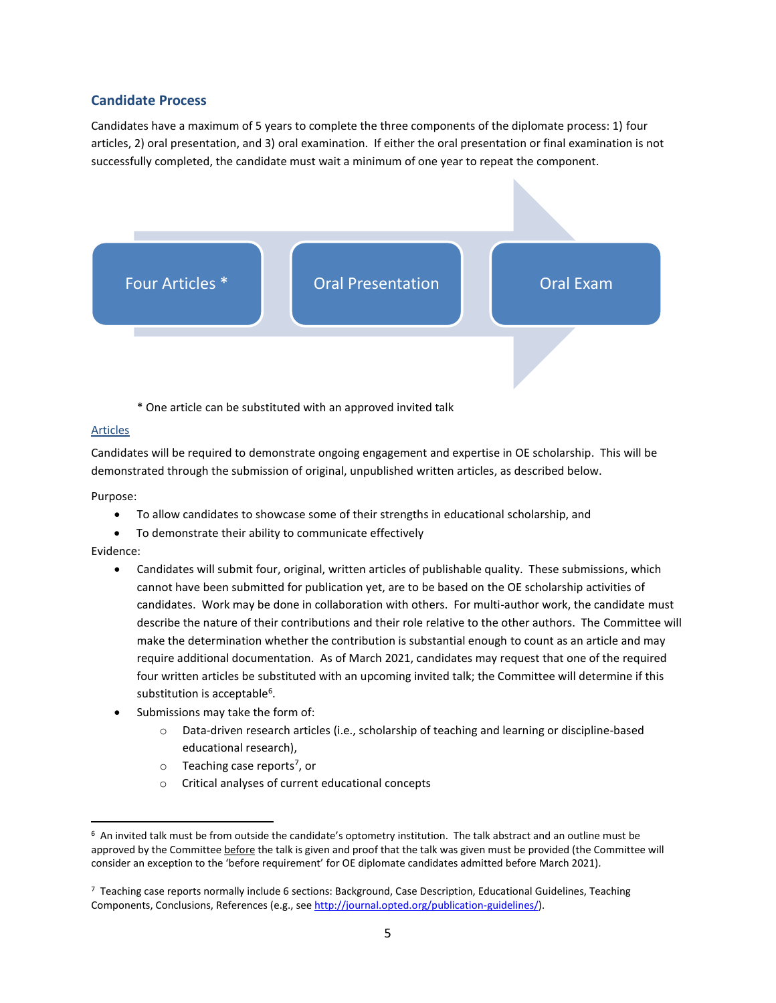## **Candidate Process**

Candidates have a maximum of 5 years to complete the three components of the diplomate process: 1) four articles, 2) oral presentation, and 3) oral examination. If either the oral presentation or final examination is not successfully completed, the candidate must wait a minimum of one year to repeat the component.



\* One article can be substituted with an approved invited talk

#### Articles

Candidates will be required to demonstrate ongoing engagement and expertise in OE scholarship. This will be demonstrated through the submission of original, unpublished written articles, as described below.

Purpose:

- To allow candidates to showcase some of their strengths in educational scholarship, and
- To demonstrate their ability to communicate effectively

Evidence:

- Candidates will submit four, original, written articles of publishable quality. These submissions, which cannot have been submitted for publication yet, are to be based on the OE scholarship activities of candidates. Work may be done in collaboration with others. For multi-author work, the candidate must describe the nature of their contributions and their role relative to the other authors. The Committee will make the determination whether the contribution is substantial enough to count as an article and may require additional documentation. As of March 2021, candidates may request that one of the required four written articles be substituted with an upcoming invited talk; the Committee will determine if this substitution is acceptable<sup>6</sup>.
- Submissions may take the form of:
	- o Data-driven research articles (i.e., scholarship of teaching and learning or discipline-based educational research),
	- o Teaching case reports<sup>7</sup>, or
	- o Critical analyses of current educational concepts

 $6$  An invited talk must be from outside the candidate's optometry institution. The talk abstract and an outline must be approved by the Committee before the talk is given and proof that the talk was given must be provided (the Committee will consider an exception to the 'before requirement' for OE diplomate candidates admitted before March 2021).

<sup>7</sup> Teaching case reports normally include 6 sections: Background, Case Description, Educational Guidelines, Teaching Components, Conclusions, References (e.g., se[e http://journal.opted.org/publication-guidelines/\)](http://journal.opted.org/publication-guidelines/).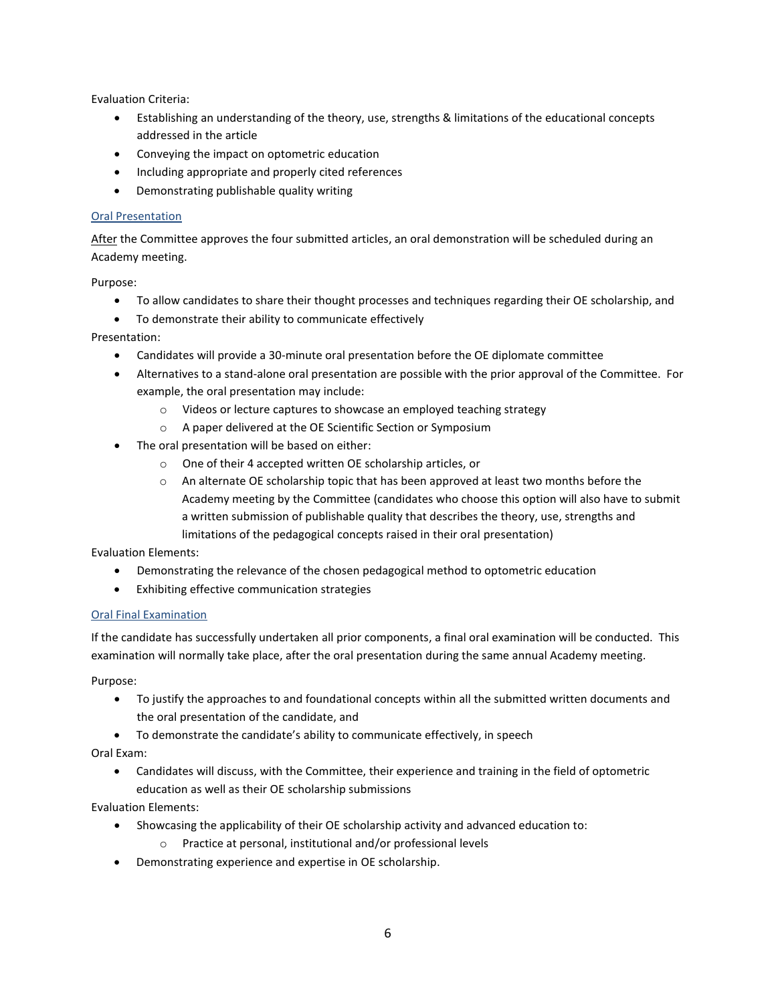Evaluation Criteria:

- Establishing an understanding of the theory, use, strengths & limitations of the educational concepts addressed in the article
- Conveying the impact on optometric education
- Including appropriate and properly cited references
- Demonstrating publishable quality writing

#### Oral Presentation

After the Committee approves the four submitted articles, an oral demonstration will be scheduled during an Academy meeting.

Purpose:

- To allow candidates to share their thought processes and techniques regarding their OE scholarship, and
- To demonstrate their ability to communicate effectively

Presentation:

- Candidates will provide a 30-minute oral presentation before the OE diplomate committee
- Alternatives to a stand-alone oral presentation are possible with the prior approval of the Committee. For example, the oral presentation may include:
	- o Videos or lecture captures to showcase an employed teaching strategy
	- o A paper delivered at the OE Scientific Section or Symposium
- The oral presentation will be based on either:
	- o One of their 4 accepted written OE scholarship articles, or
	- o An alternate OE scholarship topic that has been approved at least two months before the Academy meeting by the Committee (candidates who choose this option will also have to submit a written submission of publishable quality that describes the theory, use, strengths and limitations of the pedagogical concepts raised in their oral presentation)

Evaluation Elements:

- Demonstrating the relevance of the chosen pedagogical method to optometric education
- Exhibiting effective communication strategies

## Oral Final Examination

If the candidate has successfully undertaken all prior components, a final oral examination will be conducted. This examination will normally take place, after the oral presentation during the same annual Academy meeting.

Purpose:

- To justify the approaches to and foundational concepts within all the submitted written documents and the oral presentation of the candidate, and
- To demonstrate the candidate's ability to communicate effectively, in speech

Oral Exam:

• Candidates will discuss, with the Committee, their experience and training in the field of optometric education as well as their OE scholarship submissions

Evaluation Elements:

- Showcasing the applicability of their OE scholarship activity and advanced education to:
	- o Practice at personal, institutional and/or professional levels
- Demonstrating experience and expertise in OE scholarship.